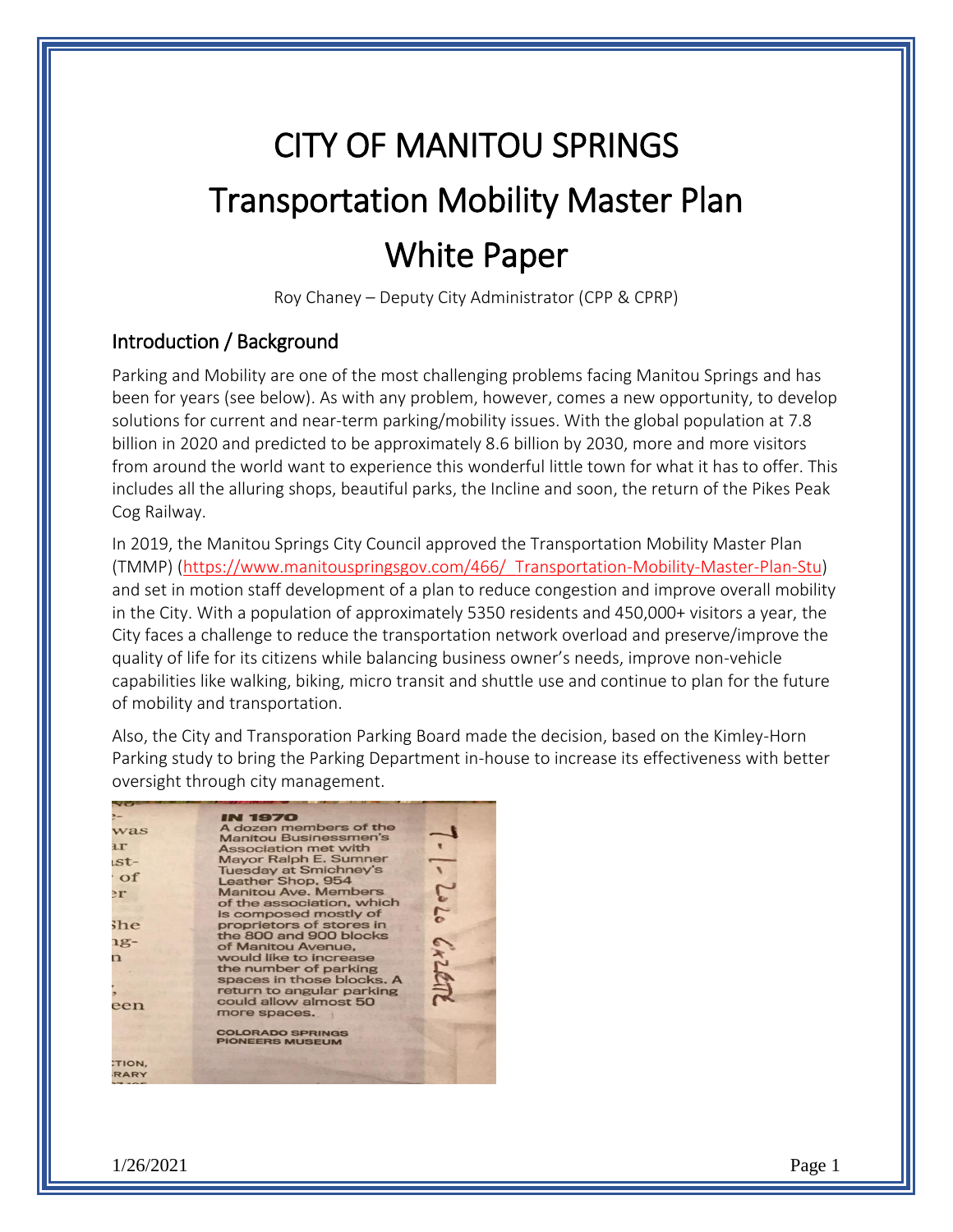# CITY OF MANITOU SPRINGS Transportation Mobility Master Plan White Paper

Roy Chaney – Deputy City Administrator (CPP & CPRP)

## Introduction / Background

Parking and Mobility are one of the most challenging problems facing Manitou Springs and has been for years (see below). As with any problem, however, comes a new opportunity, to develop solutions for current and near-term parking/mobility issues. With the global population at 7.8 billion in 2020 and predicted to be approximately 8.6 billion by 2030, more and more visitors from around the world want to experience this wonderful little town for what it has to offer. This includes all the alluring shops, beautiful parks, the Incline and soon, the return of the Pikes Peak Cog Railway.

In 2019, the Manitou Springs City Council approved the Transportation Mobility Master Plan (TMMP) [\(https://www.manitouspringsgov.com/466/\\_Transportation-Mobility-Master-Plan-Stu\)](https://www.manitouspringsgov.com/466/_Transportation-Mobility-Master-Plan-Stu) and set in motion staff development of a plan to reduce congestion and improve overall mobility in the City. With a population of approximately 5350 residents and 450,000+ visitors a year, the City faces a challenge to reduce the transportation network overload and preserve/improve the quality of life for its citizens while balancing business owner's needs, improve non-vehicle capabilities like walking, biking, micro transit and shuttle use and continue to plan for the future of mobility and transportation.

Also, the City and Transporation Parking Board made the decision, based on the Kimley-Horn Parking study to bring the Parking Department in-house to increase its effectiveness with better oversight through city management.

|              | <b>IN 1970</b>               |            |
|--------------|------------------------------|------------|
| was          | A dozen members of the       |            |
| $\mathbf{H}$ | <b>Manitou Businessmen's</b> |            |
|              | Association met with         |            |
| $st-$        | Mayor Ralph E. Sumner        |            |
| $\circ$      | <b>Tuesday at Smichney's</b> |            |
|              | Leather Shop, 954            |            |
| $\mathbb{E}$ | <b>Manitou Ave. Members</b>  | 202        |
|              | of the association, which    |            |
|              | is composed mostly of        |            |
| <b>She</b>   | proprietors of stores in     |            |
| $1g-$        | the 800 and 900 blocks       |            |
|              | of Manitou Avenue.           |            |
| n            | would like to increase       |            |
|              | the number of parking        |            |
|              | spaces in those blocks. A    | <b>Als</b> |
|              | return to angular parking    |            |
| een          | could allow almost 50        |            |
|              | more spaces.                 |            |
|              | <b>COLORADO SPRINGS</b>      |            |
|              | <b>PIONEERS MUSEUM</b>       |            |
|              |                              |            |
| TION,        |                              |            |
| <b>RARY</b>  |                              |            |
| $ -$         |                              |            |

1/26/2021 Page 1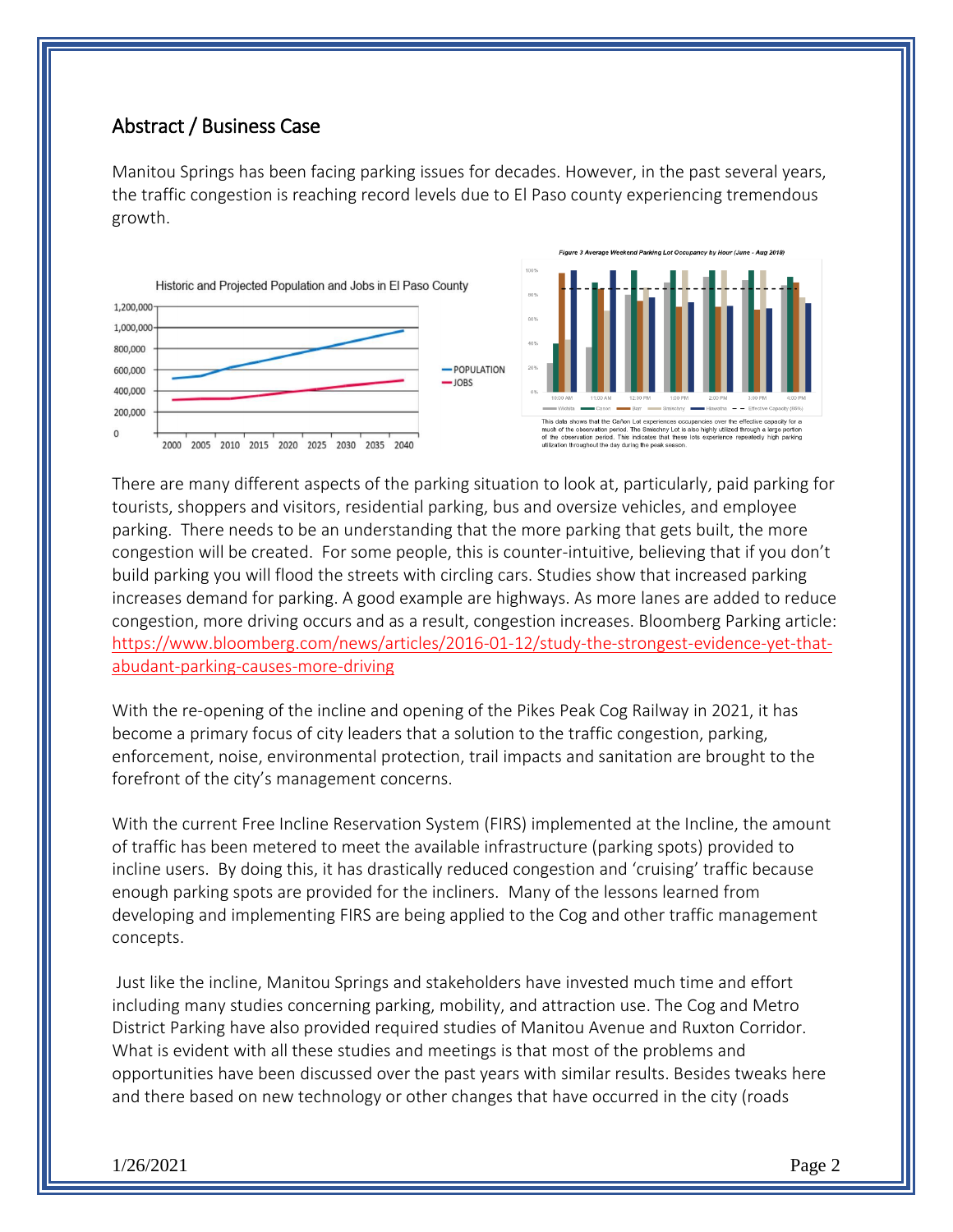#### Abstract / Business Case

Manitou Springs has been facing parking issues for decades. However, in the past several years, the traffic congestion is reaching record levels due to El Paso county experiencing tremendous growth.



There are many different aspects of the parking situation to look at, particularly, paid parking for tourists, shoppers and visitors, residential parking, bus and oversize vehicles, and employee parking. There needs to be an understanding that the more parking that gets built, the more congestion will be created. For some people, this is counter-intuitive, believing that if you don't build parking you will flood the streets with circling cars. Studies show that increased parking increases demand for parking. A good example are highways. As more lanes are added to reduce congestion, more driving occurs and as a result, congestion increases. Bloomberg Parking article: [https://www.bloomberg.com/news/articles/2016-01-12/study-the-strongest-evidence-yet-that](https://www.bloomberg.com/news/articles/2016-01-12/study-the-strongest-evidence-yet-that-abudant-parking-causes-more-driving)[abudant-parking-causes-more-driving](https://www.bloomberg.com/news/articles/2016-01-12/study-the-strongest-evidence-yet-that-abudant-parking-causes-more-driving)

With the re-opening of the incline and opening of the Pikes Peak Cog Railway in 2021, it has become a primary focus of city leaders that a solution to the traffic congestion, parking, enforcement, noise, environmental protection, trail impacts and sanitation are brought to the forefront of the city's management concerns.

With the current Free Incline Reservation System (FIRS) implemented at the Incline, the amount of traffic has been metered to meet the available infrastructure (parking spots) provided to incline users. By doing this, it has drastically reduced congestion and 'cruising' traffic because enough parking spots are provided for the incliners. Many of the lessons learned from developing and implementing FIRS are being applied to the Cog and other traffic management concepts.

Just like the incline, Manitou Springs and stakeholders have invested much time and effort including many studies concerning parking, mobility, and attraction use. The Cog and Metro District Parking have also provided required studies of Manitou Avenue and Ruxton Corridor. What is evident with all these studies and meetings is that most of the problems and opportunities have been discussed over the past years with similar results. Besides tweaks here and there based on new technology or other changes that have occurred in the city (roads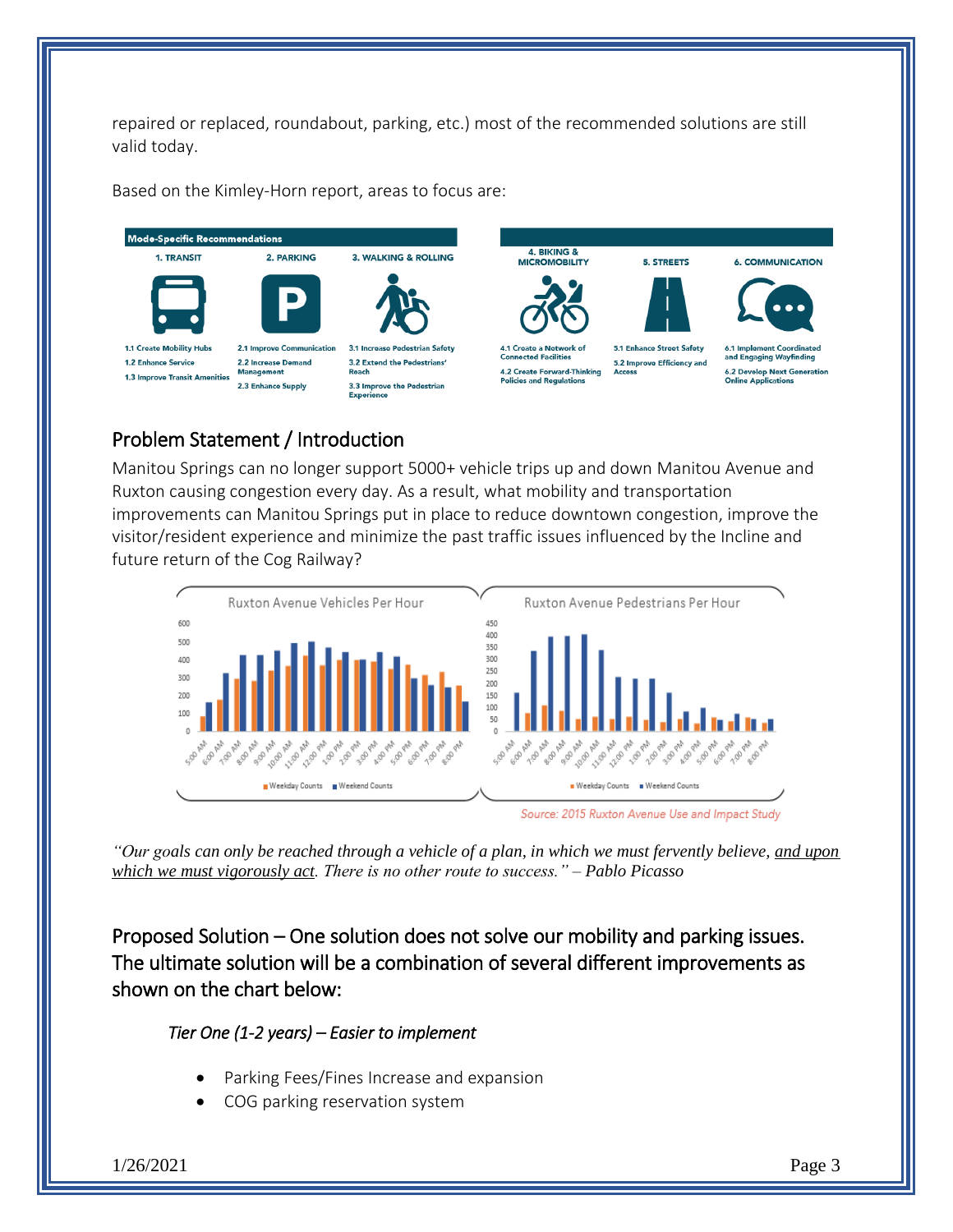repaired or replaced, roundabout, parking, etc.) most of the recommended solutions are still valid today.

Based on the Kimley-Horn report, areas to focus are:



## Problem Statement / Introduction

Manitou Springs can no longer support 5000+ vehicle trips up and down Manitou Avenue and Ruxton causing congestion every day. As a result, what mobility and transportation improvements can Manitou Springs put in place to reduce downtown congestion, improve the visitor/resident experience and minimize the past traffic issues influenced by the Incline and future return of the Cog Railway?



Source: 2015 Ruxton Avenue Use and Impact Study

*"Our goals can only be reached through a vehicle of a plan, in which we must fervently believe, and upon which we must vigorously act. There is no other route to success." – Pablo Picasso*

Proposed Solution – One solution does not solve our mobility and parking issues. The ultimate solution will be a combination of several different improvements as shown on the chart below:

#### *Tier One (1-2 years) – Easier to implement*

- Parking Fees/Fines Increase and expansion
- COG parking reservation system

1/26/2021 Page 3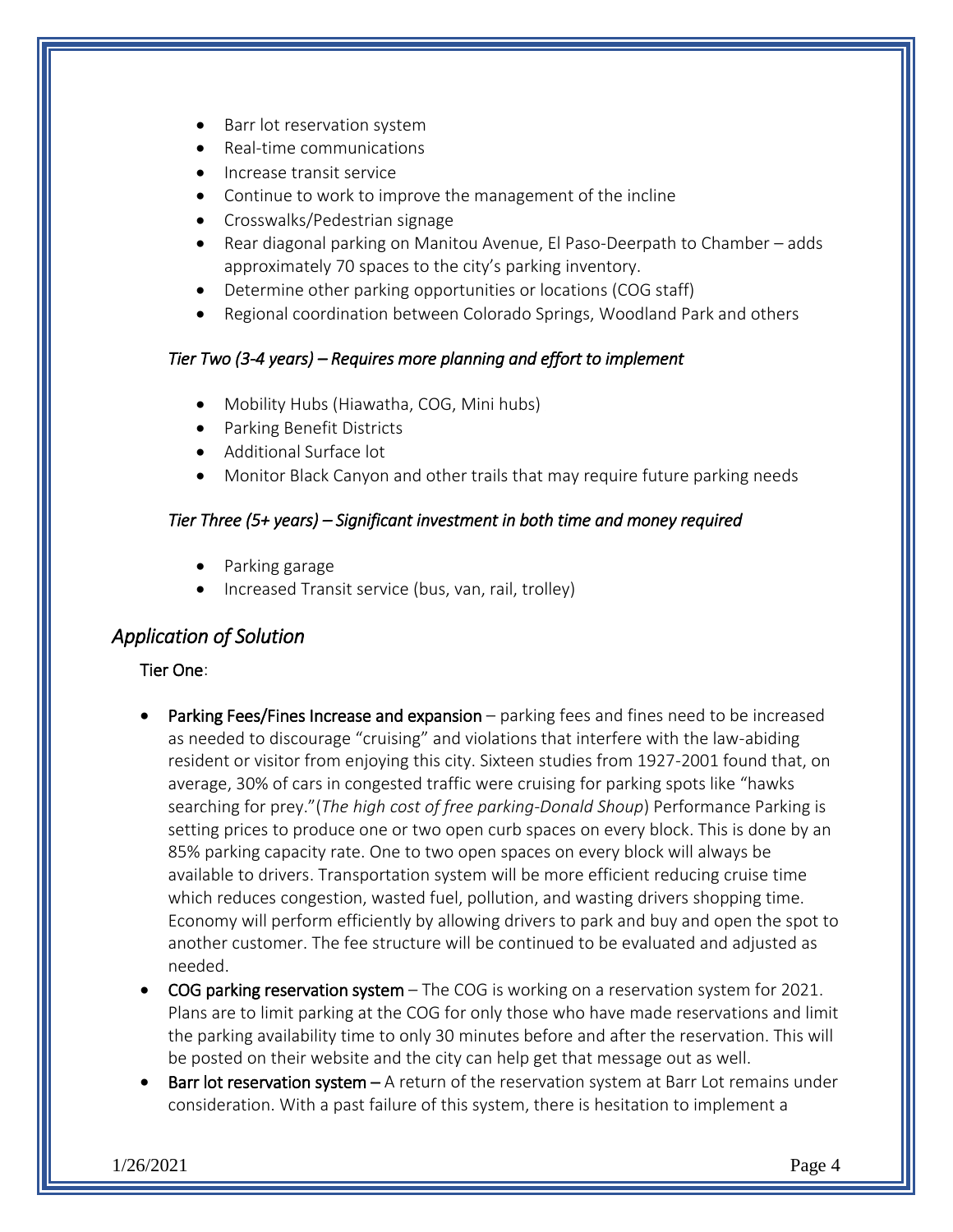- Barr lot reservation system
- Real-time communications
- Increase transit service
- Continue to work to improve the management of the incline
- Crosswalks/Pedestrian signage
- Rear diagonal parking on Manitou Avenue, El Paso-Deerpath to Chamber adds approximately 70 spaces to the city's parking inventory.
- Determine other parking opportunities or locations (COG staff)
- Regional coordination between Colorado Springs, Woodland Park and others

#### *Tier Two (3-4 years) – Requires more planning and effort to implement*

- Mobility Hubs (Hiawatha, COG, Mini hubs)
- Parking Benefit Districts
- Additional Surface lot
- Monitor Black Canyon and other trails that may require future parking needs

#### *Tier Three (5+ years) – Significant investment in both time and money required*

- Parking garage
- Increased Transit service (bus, van, rail, trolley)

#### *Application of Solution*

#### Tier One:

- Parking Fees/Fines Increase and expansion parking fees and fines need to be increased as needed to discourage "cruising" and violations that interfere with the law-abiding resident or visitor from enjoying this city. Sixteen studies from 1927-2001 found that, on average, 30% of cars in congested traffic were cruising for parking spots like "hawks searching for prey."(*The high cost of free parking-Donald Shoup*) Performance Parking is setting prices to produce one or two open curb spaces on every block. This is done by an 85% parking capacity rate. One to two open spaces on every block will always be available to drivers. Transportation system will be more efficient reducing cruise time which reduces congestion, wasted fuel, pollution, and wasting drivers shopping time. Economy will perform efficiently by allowing drivers to park and buy and open the spot to another customer. The fee structure will be continued to be evaluated and adjusted as needed.
- COG parking reservation system The COG is working on a reservation system for 2021. Plans are to limit parking at the COG for only those who have made reservations and limit the parking availability time to only 30 minutes before and after the reservation. This will be posted on their website and the city can help get that message out as well.
- Barr lot reservation system  $A$  return of the reservation system at Barr Lot remains under consideration. With a past failure of this system, there is hesitation to implement a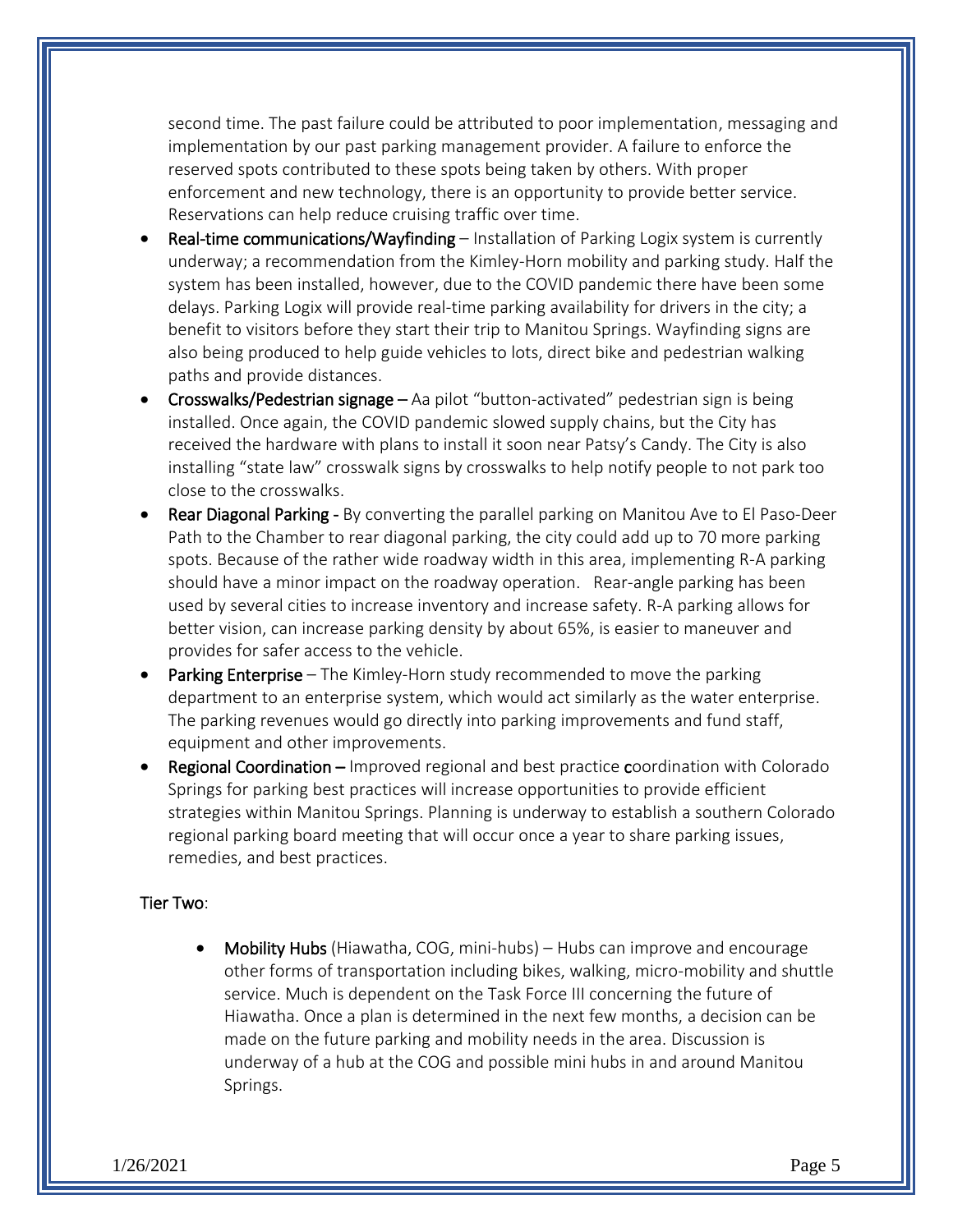second time. The past failure could be attributed to poor implementation, messaging and implementation by our past parking management provider. A failure to enforce the reserved spots contributed to these spots being taken by others. With proper enforcement and new technology, there is an opportunity to provide better service. Reservations can help reduce cruising traffic over time.

- Real-time communications/Wayfinding Installation of Parking Logix system is currently underway; a recommendation from the Kimley-Horn mobility and parking study. Half the system has been installed, however, due to the COVID pandemic there have been some delays. Parking Logix will provide real-time parking availability for drivers in the city; a benefit to visitors before they start their trip to Manitou Springs. Wayfinding signs are also being produced to help guide vehicles to lots, direct bike and pedestrian walking paths and provide distances.
- Crosswalks/Pedestrian signage Aa pilot "button-activated" pedestrian sign is being installed. Once again, the COVID pandemic slowed supply chains, but the City has received the hardware with plans to install it soon near Patsy's Candy. The City is also installing "state law" crosswalk signs by crosswalks to help notify people to not park too close to the crosswalks.
- Rear Diagonal Parking By converting the parallel parking on Manitou Ave to El Paso-Deer Path to the Chamber to rear diagonal parking, the city could add up to 70 more parking spots. Because of the rather wide roadway width in this area, implementing R-A parking should have a minor impact on the roadway operation. Rear-angle parking has been used by several cities to increase inventory and increase safety. R-A parking allows for better vision, can increase parking density by about 65%, is easier to maneuver and provides for safer access to the vehicle.
- Parking Enterprise The Kimley-Horn study recommended to move the parking department to an enterprise system, which would act similarly as the water enterprise. The parking revenues would go directly into parking improvements and fund staff, equipment and other improvements.
- Regional Coordination Improved regional and best practice coordination with Colorado Springs for parking best practices will increase opportunities to provide efficient strategies within Manitou Springs. Planning is underway to establish a southern Colorado regional parking board meeting that will occur once a year to share parking issues, remedies, and best practices.

#### Tier Two:

 Mobility Hubs (Hiawatha, COG, mini-hubs) – Hubs can improve and encourage other forms of transportation including bikes, walking, micro-mobility and shuttle service. Much is dependent on the Task Force III concerning the future of Hiawatha. Once a plan is determined in the next few months, a decision can be made on the future parking and mobility needs in the area. Discussion is underway of a hub at the COG and possible mini hubs in and around Manitou Springs.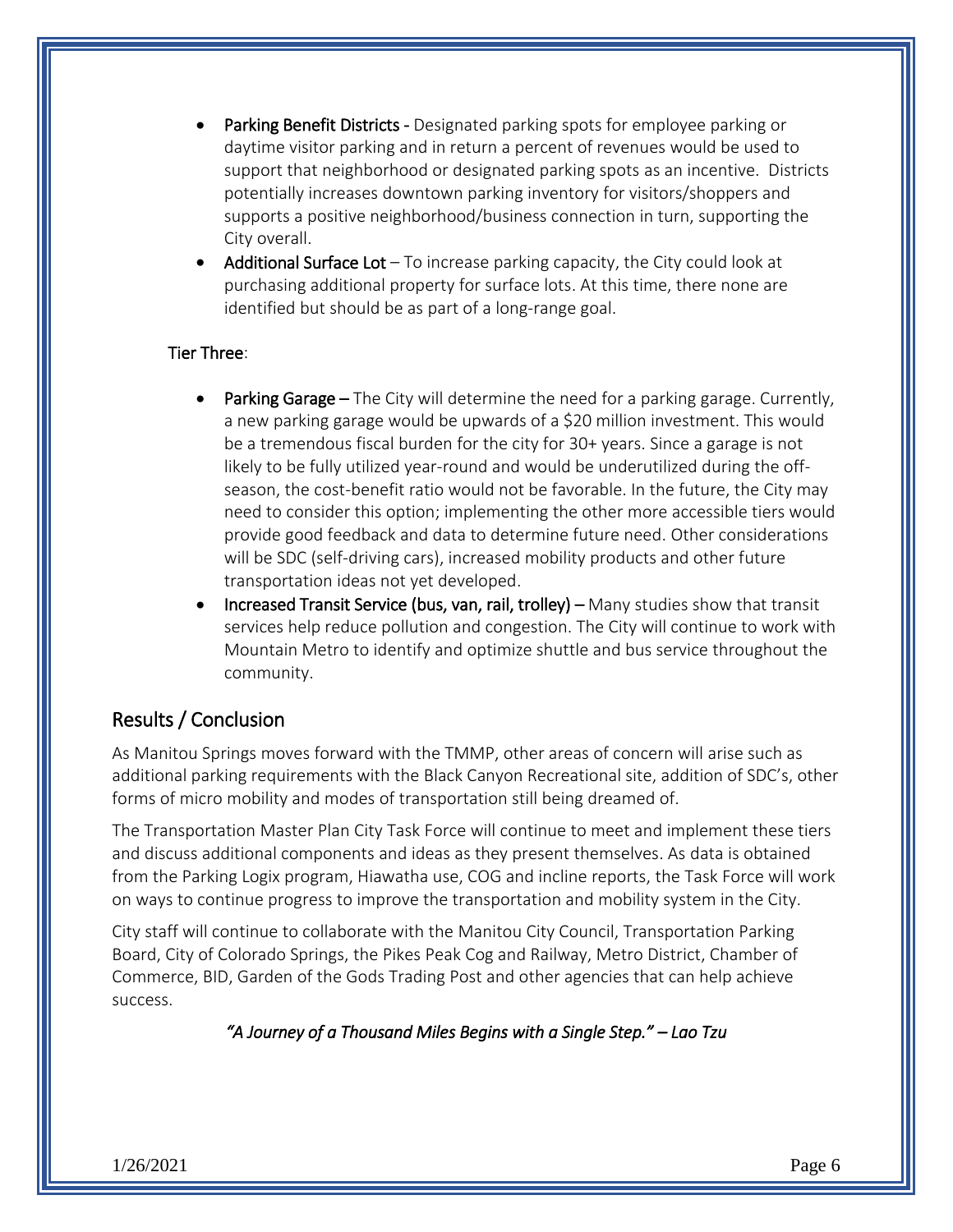- Parking Benefit Districts Designated parking spots for employee parking or daytime visitor parking and in return a percent of revenues would be used to support that neighborhood or designated parking spots as an incentive. Districts potentially increases downtown parking inventory for visitors/shoppers and supports a positive neighborhood/business connection in turn, supporting the City overall.
- Additional Surface Lot To increase parking capacity, the City could look at purchasing additional property for surface lots. At this time, there none are identified but should be as part of a long-range goal.

#### Tier Three:

- Parking Garage The City will determine the need for a parking garage. Currently, a new parking garage would be upwards of a \$20 million investment. This would be a tremendous fiscal burden for the city for 30+ years. Since a garage is not likely to be fully utilized year-round and would be underutilized during the offseason, the cost-benefit ratio would not be favorable. In the future, the City may need to consider this option; implementing the other more accessible tiers would provide good feedback and data to determine future need. Other considerations will be SDC (self-driving cars), increased mobility products and other future transportation ideas not yet developed.
- Increased Transit Service (bus, van, rail, trolley) Many studies show that transit services help reduce pollution and congestion. The City will continue to work with Mountain Metro to identify and optimize shuttle and bus service throughout the community.

#### Results / Conclusion

As Manitou Springs moves forward with the TMMP, other areas of concern will arise such as additional parking requirements with the Black Canyon Recreational site, addition of SDC's, other forms of micro mobility and modes of transportation still being dreamed of.

The Transportation Master Plan City Task Force will continue to meet and implement these tiers and discuss additional components and ideas as they present themselves. As data is obtained from the Parking Logix program, Hiawatha use, COG and incline reports, the Task Force will work on ways to continue progress to improve the transportation and mobility system in the City.

City staff will continue to collaborate with the Manitou City Council, Transportation Parking Board, City of Colorado Springs, the Pikes Peak Cog and Railway, Metro District, Chamber of Commerce, BID, Garden of the Gods Trading Post and other agencies that can help achieve success.

*"A Journey of a Thousand Miles Begins with a Single Step." – Lao Tzu*